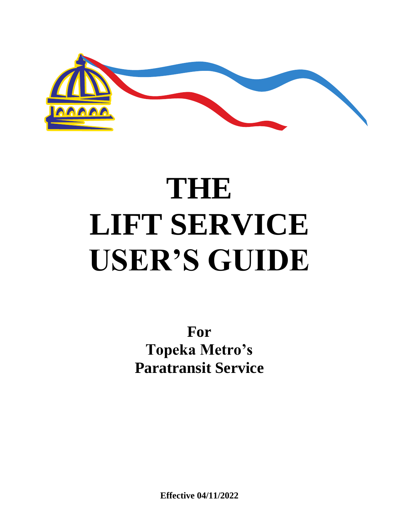

# **THE LIFT SERVICE USER'S GUIDE**

**For Topeka Metro's Paratransit Service**

**Effective 04/11/2022**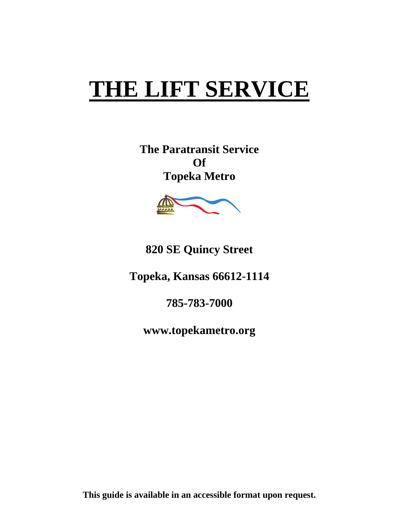## **THE LIFT SERVICE**

**The Paratransit Service Of Topeka Metro**



**820 SE Quincy Street**

**Topeka, Kansas 66612-1114**

**785-783-7000** 

**www.topekametro.org**

**This guide is available in an accessible format upon request.**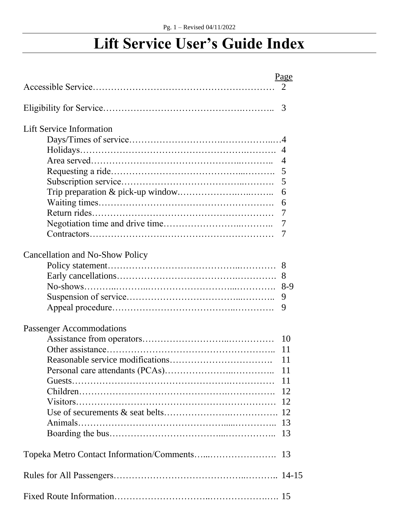## **Lift Service User's Guide Index**

|                                        | Page                        |
|----------------------------------------|-----------------------------|
|                                        | $\mathcal{D}_{\mathcal{L}}$ |
|                                        | 3                           |
|                                        |                             |
| <b>Lift Service Information</b>        |                             |
|                                        |                             |
|                                        |                             |
|                                        | $\overline{4}$              |
|                                        | 5                           |
|                                        | 5                           |
|                                        | 6                           |
|                                        | 6                           |
|                                        | 7                           |
|                                        | 7                           |
|                                        | 7                           |
| <b>Cancellation and No-Show Policy</b> |                             |
|                                        | 8                           |
|                                        | 8                           |
|                                        | $8-9$                       |
|                                        | 9                           |
|                                        | 9                           |
| <b>Passenger Accommodations</b>        |                             |
|                                        | 10                          |
|                                        | 11                          |
|                                        | 11                          |
|                                        |                             |
|                                        |                             |
|                                        |                             |
|                                        |                             |
|                                        |                             |
|                                        |                             |
|                                        |                             |
|                                        |                             |
|                                        |                             |
|                                        |                             |
|                                        |                             |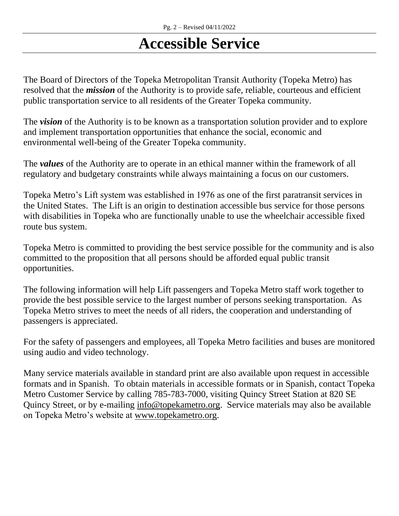## **Accessible Service**

The Board of Directors of the Topeka Metropolitan Transit Authority (Topeka Metro) has resolved that the *mission* of the Authority is to provide safe, reliable, courteous and efficient public transportation service to all residents of the Greater Topeka community.

The *vision* of the Authority is to be known as a transportation solution provider and to explore and implement transportation opportunities that enhance the social, economic and environmental well-being of the Greater Topeka community.

The *values* of the Authority are to operate in an ethical manner within the framework of all regulatory and budgetary constraints while always maintaining a focus on our customers.

Topeka Metro's Lift system was established in 1976 as one of the first paratransit services in the United States. The Lift is an origin to destination accessible bus service for those persons with disabilities in Topeka who are functionally unable to use the wheelchair accessible fixed route bus system.

Topeka Metro is committed to providing the best service possible for the community and is also committed to the proposition that all persons should be afforded equal public transit opportunities.

The following information will help Lift passengers and Topeka Metro staff work together to provide the best possible service to the largest number of persons seeking transportation. As Topeka Metro strives to meet the needs of all riders, the cooperation and understanding of passengers is appreciated.

For the safety of passengers and employees, all Topeka Metro facilities and buses are monitored using audio and video technology.

Many service materials available in standard print are also available upon request in accessible formats and in Spanish. To obtain materials in accessible formats or in Spanish, contact Topeka Metro Customer Service by calling 785-783-7000, visiting Quincy Street Station at 820 SE Quincy Street, or by e-mailing [info@topekametro.org.](mailto:info@topekametro.org) Service materials may also be available on Topeka Metro's website at [www.topekametro.org.](http://www.topekametro.org/)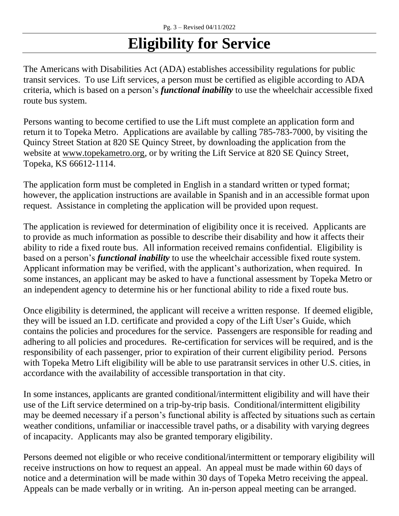## **Eligibility for Service**

The Americans with Disabilities Act (ADA) establishes accessibility regulations for public transit services. To use Lift services, a person must be certified as eligible according to ADA criteria, which is based on a person's *functional inability* to use the wheelchair accessible fixed route bus system.

Persons wanting to become certified to use the Lift must complete an application form and return it to Topeka Metro. Applications are available by calling 785-783-7000, by visiting the Quincy Street Station at 820 SE Quincy Street, by downloading the application from the website at [www.topekametro.org,](http://www.topekametro.org/) or by writing the Lift Service at 820 SE Quincy Street, Topeka, KS 66612-1114.

The application form must be completed in English in a standard written or typed format; however, the application instructions are available in Spanish and in an accessible format upon request. Assistance in completing the application will be provided upon request.

The application is reviewed for determination of eligibility once it is received. Applicants are to provide as much information as possible to describe their disability and how it affects their ability to ride a fixed route bus. All information received remains confidential. Eligibility is based on a person's *functional inability* to use the wheelchair accessible fixed route system. Applicant information may be verified, with the applicant's authorization, when required. In some instances, an applicant may be asked to have a functional assessment by Topeka Metro or an independent agency to determine his or her functional ability to ride a fixed route bus.

Once eligibility is determined, the applicant will receive a written response. If deemed eligible, they will be issued an I.D. certificate and provided a copy of the Lift User's Guide, which contains the policies and procedures for the service. Passengers are responsible for reading and adhering to all policies and procedures. Re-certification for services will be required, and is the responsibility of each passenger, prior to expiration of their current eligibility period. Persons with Topeka Metro Lift eligibility will be able to use paratransit services in other U.S. cities, in accordance with the availability of accessible transportation in that city.

In some instances, applicants are granted conditional/intermittent eligibility and will have their use of the Lift service determined on a trip-by-trip basis. Conditional/intermittent eligibility may be deemed necessary if a person's functional ability is affected by situations such as certain weather conditions, unfamiliar or inaccessible travel paths, or a disability with varying degrees of incapacity. Applicants may also be granted temporary eligibility.

Persons deemed not eligible or who receive conditional/intermittent or temporary eligibility will receive instructions on how to request an appeal. An appeal must be made within 60 days of notice and a determination will be made within 30 days of Topeka Metro receiving the appeal. Appeals can be made verbally or in writing. An in-person appeal meeting can be arranged.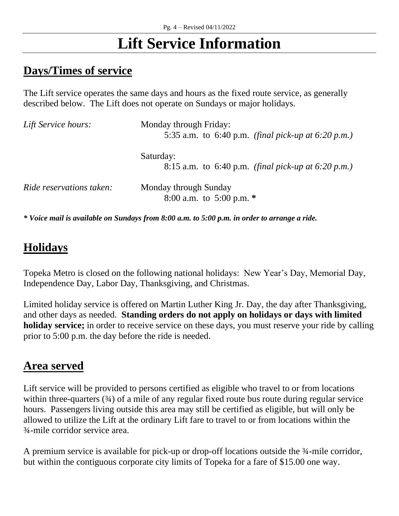## **Lift Service Information**

#### **Days/Times of service**

The Lift service operates the same days and hours as the fixed route service, as generally described below. The Lift does not operate on Sundays or major holidays.

| Lift Service hours:             | Monday through Friday:<br>5:35 a.m. to 6:40 p.m. <i>(final pick-up at 6:20 p.m.)</i> |
|---------------------------------|--------------------------------------------------------------------------------------|
|                                 | Saturday:<br>8:15 a.m. to 6:40 p.m. <i>(final pick-up at 6:20 p.m.)</i>              |
| <i>Ride reservations taken:</i> | Monday through Sunday<br>8:00 a.m. to 5:00 p.m. $*$                                  |

*\* Voice mail is available on Sundays from 8:00 a.m. to 5:00 p.m. in order to arrange a ride.*

#### **Holidays**

Topeka Metro is closed on the following national holidays: New Year's Day, Memorial Day, Independence Day, Labor Day, Thanksgiving, and Christmas.

Limited holiday service is offered on Martin Luther King Jr. Day, the day after Thanksgiving, and other days as needed. **Standing orders do not apply on holidays or days with limited holiday service;** in order to receive service on these days, you must reserve your ride by calling prior to 5:00 p.m. the day before the ride is needed.

#### **Area served**

Lift service will be provided to persons certified as eligible who travel to or from locations within three-quarters (34) of a mile of any regular fixed route bus route during regular service hours. Passengers living outside this area may still be certified as eligible, but will only be allowed to utilize the Lift at the ordinary Lift fare to travel to or from locations within the ¾-mile corridor service area.

A premium service is available for pick-up or drop-off locations outside the ¾-mile corridor, but within the contiguous corporate city limits of Topeka for a fare of \$15.00 one way.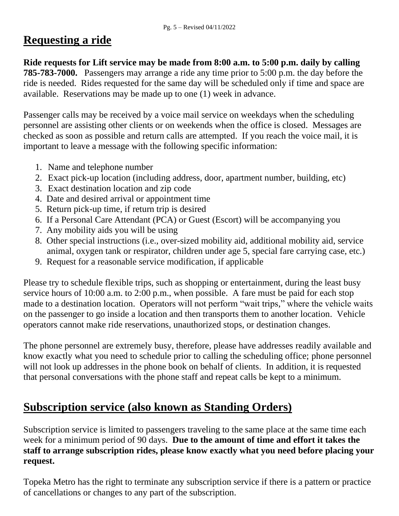#### **Requesting a ride**

**Ride requests for Lift service may be made from 8:00 a.m. to 5:00 p.m. daily by calling 785-783-7000.** Passengers may arrange a ride any time prior to 5:00 p.m. the day before the ride is needed. Rides requested for the same day will be scheduled only if time and space are available. Reservations may be made up to one (1) week in advance.

Passenger calls may be received by a voice mail service on weekdays when the scheduling personnel are assisting other clients or on weekends when the office is closed. Messages are checked as soon as possible and return calls are attempted. If you reach the voice mail, it is important to leave a message with the following specific information:

- 1. Name and telephone number
- 2. Exact pick-up location (including address, door, apartment number, building, etc)
- 3. Exact destination location and zip code
- 4. Date and desired arrival or appointment time
- 5. Return pick-up time, if return trip is desired
- 6. If a Personal Care Attendant (PCA) or Guest (Escort) will be accompanying you
- 7. Any mobility aids you will be using
- 8. Other special instructions (i.e., over-sized mobility aid, additional mobility aid, service animal, oxygen tank or respirator, children under age 5, special fare carrying case, etc.)
- 9. Request for a reasonable service modification, if applicable

Please try to schedule flexible trips, such as shopping or entertainment, during the least busy service hours of 10:00 a.m. to 2:00 p.m., when possible. A fare must be paid for each stop made to a destination location. Operators will not perform "wait trips," where the vehicle waits on the passenger to go inside a location and then transports them to another location. Vehicle operators cannot make ride reservations, unauthorized stops, or destination changes.

The phone personnel are extremely busy, therefore, please have addresses readily available and know exactly what you need to schedule prior to calling the scheduling office; phone personnel will not look up addresses in the phone book on behalf of clients. In addition, it is requested that personal conversations with the phone staff and repeat calls be kept to a minimum.

#### **Subscription service (also known as Standing Orders)**

Subscription service is limited to passengers traveling to the same place at the same time each week for a minimum period of 90 days. **Due to the amount of time and effort it takes the staff to arrange subscription rides, please know exactly what you need before placing your request.** 

Topeka Metro has the right to terminate any subscription service if there is a pattern or practice of cancellations or changes to any part of the subscription.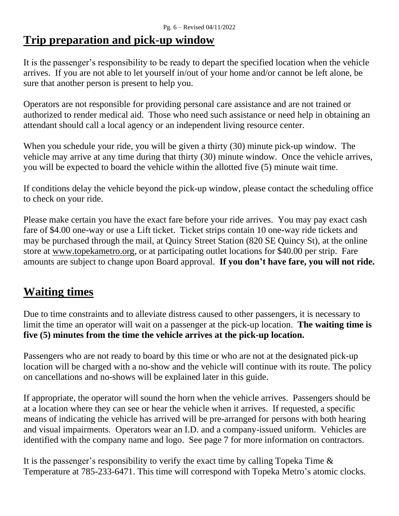#### **Trip preparation and pick-up window**

It is the passenger's responsibility to be ready to depart the specified location when the vehicle arrives. If you are not able to let yourself in/out of your home and/or cannot be left alone, be sure that another person is present to help you.

Operators are not responsible for providing personal care assistance and are not trained or authorized to render medical aid. Those who need such assistance or need help in obtaining an attendant should call a local agency or an independent living resource center.

When you schedule your ride, you will be given a thirty (30) minute pick-up window. The vehicle may arrive at any time during that thirty (30) minute window. Once the vehicle arrives, you will be expected to board the vehicle within the allotted five (5) minute wait time.

If conditions delay the vehicle beyond the pick-up window, please contact the scheduling office to check on your ride.

Please make certain you have the exact fare before your ride arrives. You may pay exact cash fare of \$4.00 one-way or use a Lift ticket. Ticket strips contain 10 one-way ride tickets and may be purchased through the mail, at Quincy Street Station (820 SE Quincy St), at the online store at [www.topekametro.org,](http://www.topekametro.org/) or at participating outlet locations for \$40.00 per strip. Fare amounts are subject to change upon Board approval. **If you don't have fare, you will not ride.** 

#### **Waiting times**

Due to time constraints and to alleviate distress caused to other passengers, it is necessary to limit the time an operator will wait on a passenger at the pick-up location. **The waiting time is five (5) minutes from the time the vehicle arrives at the pick-up location.**

Passengers who are not ready to board by this time or who are not at the designated pick-up location will be charged with a no-show and the vehicle will continue with its route. The policy on cancellations and no-shows will be explained later in this guide.

If appropriate, the operator will sound the horn when the vehicle arrives. Passengers should be at a location where they can see or hear the vehicle when it arrives. If requested, a specific means of indicating the vehicle has arrived will be pre-arranged for persons with both hearing and visual impairments. Operators wear an I.D. and a company-issued uniform. Vehicles are identified with the company name and logo. See page 7 for more information on contractors.

It is the passenger's responsibility to verify the exact time by calling Topeka Time & Temperature at 785-233-6471. This time will correspond with Topeka Metro's atomic clocks.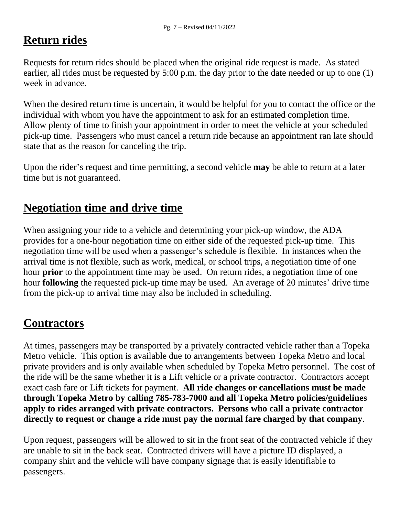#### **Return rides**

Requests for return rides should be placed when the original ride request is made. As stated earlier, all rides must be requested by 5:00 p.m. the day prior to the date needed or up to one (1) week in advance.

When the desired return time is uncertain, it would be helpful for you to contact the office or the individual with whom you have the appointment to ask for an estimated completion time. Allow plenty of time to finish your appointment in order to meet the vehicle at your scheduled pick-up time. Passengers who must cancel a return ride because an appointment ran late should state that as the reason for canceling the trip.

Upon the rider's request and time permitting, a second vehicle **may** be able to return at a later time but is not guaranteed.

#### **Negotiation time and drive time**

When assigning your ride to a vehicle and determining your pick-up window, the ADA provides for a one-hour negotiation time on either side of the requested pick-up time. This negotiation time will be used when a passenger's schedule is flexible. In instances when the arrival time is not flexible, such as work, medical, or school trips, a negotiation time of one hour **prior** to the appointment time may be used. On return rides, a negotiation time of one hour **following** the requested pick-up time may be used. An average of 20 minutes' drive time from the pick-up to arrival time may also be included in scheduling.

#### **Contractors**

At times, passengers may be transported by a privately contracted vehicle rather than a Topeka Metro vehicle. This option is available due to arrangements between Topeka Metro and local private providers and is only available when scheduled by Topeka Metro personnel. The cost of the ride will be the same whether it is a Lift vehicle or a private contractor. Contractors accept exact cash fare or Lift tickets for payment. **All ride changes or cancellations must be made through Topeka Metro by calling 785-783-7000 and all Topeka Metro policies/guidelines apply to rides arranged with private contractors. Persons who call a private contractor directly to request or change a ride must pay the normal fare charged by that company**.

Upon request, passengers will be allowed to sit in the front seat of the contracted vehicle if they are unable to sit in the back seat. Contracted drivers will have a picture ID displayed, a company shirt and the vehicle will have company signage that is easily identifiable to passengers.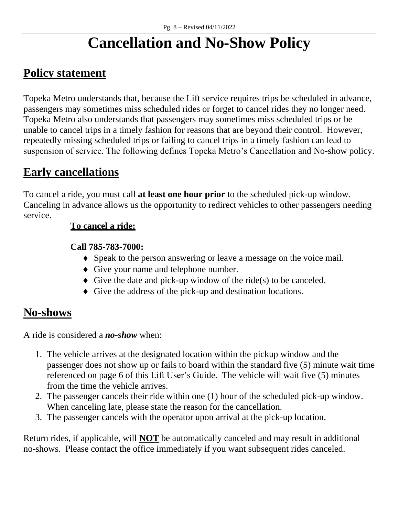## **Cancellation and No-Show Policy**

#### **Policy statement**

Topeka Metro understands that, because the Lift service requires trips be scheduled in advance, passengers may sometimes miss scheduled rides or forget to cancel rides they no longer need. Topeka Metro also understands that passengers may sometimes miss scheduled trips or be unable to cancel trips in a timely fashion for reasons that are beyond their control. However, repeatedly missing scheduled trips or failing to cancel trips in a timely fashion can lead to suspension of service. The following defines Topeka Metro's Cancellation and No-show policy.

#### **Early cancellations**

To cancel a ride, you must call **at least one hour prior** to the scheduled pick-up window. Canceling in advance allows us the opportunity to redirect vehicles to other passengers needing service.

#### **To cancel a ride:**

#### **Call 785-783-7000:**

- Speak to the person answering or leave a message on the voice mail.
- Give your name and telephone number.
- $\blacklozenge$  Give the date and pick-up window of the ride(s) to be canceled.
- Give the address of the pick-up and destination locations.

#### **No-shows**

A ride is considered a *no-show* when:

- 1. The vehicle arrives at the designated location within the pickup window and the passenger does not show up or fails to board within the standard five (5) minute wait time referenced on page 6 of this Lift User's Guide. The vehicle will wait five (5) minutes from the time the vehicle arrives.
- 2. The passenger cancels their ride within one (1) hour of the scheduled pick-up window. When canceling late, please state the reason for the cancellation.
- 3. The passenger cancels with the operator upon arrival at the pick-up location.

Return rides, if applicable, will **NOT** be automatically canceled and may result in additional no-shows. Please contact the office immediately if you want subsequent rides canceled.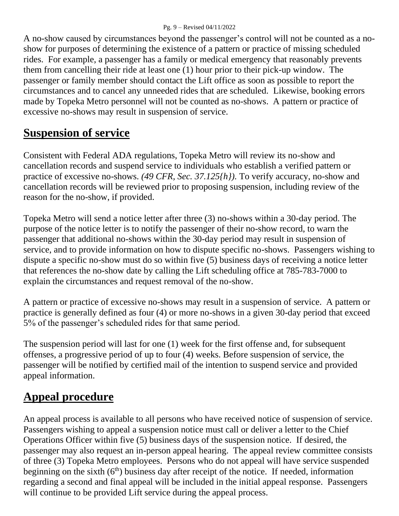#### Pg. 9 – Revised 04/11/2022

A no-show caused by circumstances beyond the passenger's control will not be counted as a noshow for purposes of determining the existence of a pattern or practice of missing scheduled rides. For example, a passenger has a family or medical emergency that reasonably prevents them from cancelling their ride at least one (1) hour prior to their pick-up window. The passenger or family member should contact the Lift office as soon as possible to report the circumstances and to cancel any unneeded rides that are scheduled. Likewise, booking errors made by Topeka Metro personnel will not be counted as no-shows. A pattern or practice of excessive no-shows may result in suspension of service.

#### **Suspension of service**

Consistent with Federal ADA regulations, Topeka Metro will review its no-show and cancellation records and suspend service to individuals who establish a verified pattern or practice of excessive no-shows. *(49 CFR, Sec. 37.125{h}).* To verify accuracy, no-show and cancellation records will be reviewed prior to proposing suspension, including review of the reason for the no-show, if provided.

Topeka Metro will send a notice letter after three (3) no-shows within a 30-day period. The purpose of the notice letter is to notify the passenger of their no-show record, to warn the passenger that additional no-shows within the 30-day period may result in suspension of service, and to provide information on how to dispute specific no-shows. Passengers wishing to dispute a specific no-show must do so within five (5) business days of receiving a notice letter that references the no-show date by calling the Lift scheduling office at 785-783-7000 to explain the circumstances and request removal of the no-show.

A pattern or practice of excessive no-shows may result in a suspension of service. A pattern or practice is generally defined as four (4) or more no-shows in a given 30-day period that exceed 5% of the passenger's scheduled rides for that same period.

The suspension period will last for one (1) week for the first offense and, for subsequent offenses, a progressive period of up to four (4) weeks. Before suspension of service, the passenger will be notified by certified mail of the intention to suspend service and provided appeal information.

#### **Appeal procedure**

An appeal process is available to all persons who have received notice of suspension of service. Passengers wishing to appeal a suspension notice must call or deliver a letter to the Chief Operations Officer within five (5) business days of the suspension notice. If desired, the passenger may also request an in-person appeal hearing. The appeal review committee consists of three (3) Topeka Metro employees. Persons who do not appeal will have service suspended beginning on the sixth  $(6<sup>th</sup>)$  business day after receipt of the notice. If needed, information regarding a second and final appeal will be included in the initial appeal response. Passengers will continue to be provided Lift service during the appeal process.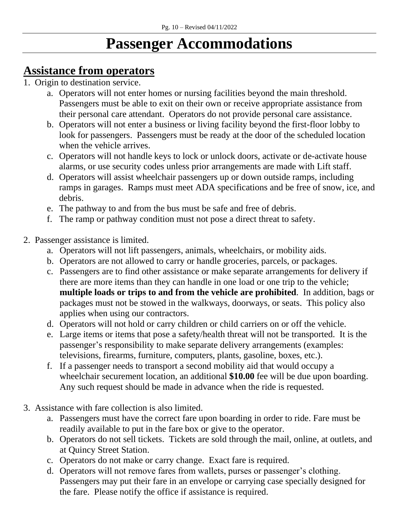## **Passenger Accommodations**

#### **Assistance from operators**

- 1. Origin to destination service.
	- a. Operators will not enter homes or nursing facilities beyond the main threshold. Passengers must be able to exit on their own or receive appropriate assistance from their personal care attendant. Operators do not provide personal care assistance.
	- b. Operators will not enter a business or living facility beyond the first-floor lobby to look for passengers. Passengers must be ready at the door of the scheduled location when the vehicle arrives.
	- c. Operators will not handle keys to lock or unlock doors, activate or de-activate house alarms, or use security codes unless prior arrangements are made with Lift staff.
	- d. Operators will assist wheelchair passengers up or down outside ramps, including ramps in garages. Ramps must meet ADA specifications and be free of snow, ice, and debris.
	- e. The pathway to and from the bus must be safe and free of debris.
	- f. The ramp or pathway condition must not pose a direct threat to safety.
- 2. Passenger assistance is limited.
	- a. Operators will not lift passengers, animals, wheelchairs, or mobility aids.
	- b. Operators are not allowed to carry or handle groceries, parcels, or packages.
	- c. Passengers are to find other assistance or make separate arrangements for delivery if there are more items than they can handle in one load or one trip to the vehicle; **multiple loads or trips to and from the vehicle are prohibited**. In addition, bags or packages must not be stowed in the walkways, doorways, or seats. This policy also applies when using our contractors.
	- d. Operators will not hold or carry children or child carriers on or off the vehicle.
	- e. Large items or items that pose a safety/health threat will not be transported. It is the passenger's responsibility to make separate delivery arrangements (examples: televisions, firearms, furniture, computers, plants, gasoline, boxes, etc.).
	- f. If a passenger needs to transport a second mobility aid that would occupy a wheelchair securement location, an additional **\$10.00** fee will be due upon boarding. Any such request should be made in advance when the ride is requested.
- 3. Assistance with fare collection is also limited.
	- a. Passengers must have the correct fare upon boarding in order to ride. Fare must be readily available to put in the fare box or give to the operator.
	- b. Operators do not sell tickets. Tickets are sold through the mail, online, at outlets, and at Quincy Street Station.
	- c. Operators do not make or carry change. Exact fare is required.
	- d. Operators will not remove fares from wallets, purses or passenger's clothing. Passengers may put their fare in an envelope or carrying case specially designed for the fare. Please notify the office if assistance is required.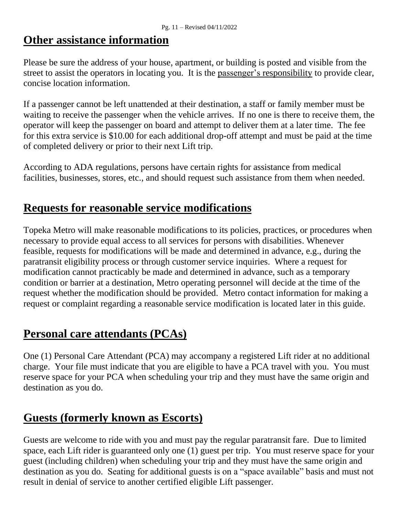#### **Other assistance information**

Please be sure the address of your house, apartment, or building is posted and visible from the street to assist the operators in locating you. It is the passenger's responsibility to provide clear, concise location information.

If a passenger cannot be left unattended at their destination, a staff or family member must be waiting to receive the passenger when the vehicle arrives. If no one is there to receive them, the operator will keep the passenger on board and attempt to deliver them at a later time. The fee for this extra service is \$10.00 for each additional drop-off attempt and must be paid at the time of completed delivery or prior to their next Lift trip.

According to ADA regulations, persons have certain rights for assistance from medical facilities, businesses, stores, etc., and should request such assistance from them when needed.

#### **Requests for reasonable service modifications**

Topeka Metro will make reasonable modifications to its policies, practices, or procedures when necessary to provide equal access to all services for persons with disabilities. Whenever feasible, requests for modifications will be made and determined in advance, e.g., during the paratransit eligibility process or through customer service inquiries. Where a request for modification cannot practicably be made and determined in advance, such as a temporary condition or barrier at a destination, Metro operating personnel will decide at the time of the request whether the modification should be provided. Metro contact information for making a request or complaint regarding a reasonable service modification is located later in this guide.

#### **Personal care attendants (PCAs)**

One (1) Personal Care Attendant (PCA) may accompany a registered Lift rider at no additional charge. Your file must indicate that you are eligible to have a PCA travel with you. You must reserve space for your PCA when scheduling your trip and they must have the same origin and destination as you do.

#### **Guests (formerly known as Escorts)**

Guests are welcome to ride with you and must pay the regular paratransit fare. Due to limited space, each Lift rider is guaranteed only one (1) guest per trip. You must reserve space for your guest (including children) when scheduling your trip and they must have the same origin and destination as you do. Seating for additional guests is on a "space available" basis and must not result in denial of service to another certified eligible Lift passenger.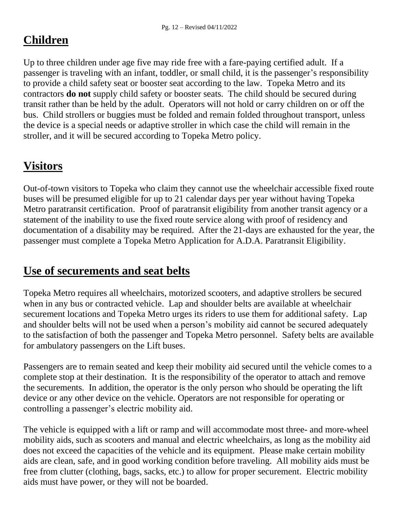#### **Children**

Up to three children under age five may ride free with a fare-paying certified adult. If a passenger is traveling with an infant, toddler, or small child, it is the passenger's responsibility to provide a child safety seat or booster seat according to the law. Topeka Metro and its contractors **do not** supply child safety or booster seats. The child should be secured during transit rather than be held by the adult. Operators will not hold or carry children on or off the bus. Child strollers or buggies must be folded and remain folded throughout transport, unless the device is a special needs or adaptive stroller in which case the child will remain in the stroller, and it will be secured according to Topeka Metro policy.

#### **Visitors**

Out-of-town visitors to Topeka who claim they cannot use the wheelchair accessible fixed route buses will be presumed eligible for up to 21 calendar days per year without having Topeka Metro paratransit certification. Proof of paratransit eligibility from another transit agency or a statement of the inability to use the fixed route service along with proof of residency and documentation of a disability may be required. After the 21-days are exhausted for the year, the passenger must complete a Topeka Metro Application for A.D.A. Paratransit Eligibility.

#### **Use of securements and seat belts**

Topeka Metro requires all wheelchairs, motorized scooters, and adaptive strollers be secured when in any bus or contracted vehicle. Lap and shoulder belts are available at wheelchair securement locations and Topeka Metro urges its riders to use them for additional safety. Lap and shoulder belts will not be used when a person's mobility aid cannot be secured adequately to the satisfaction of both the passenger and Topeka Metro personnel. Safety belts are available for ambulatory passengers on the Lift buses.

Passengers are to remain seated and keep their mobility aid secured until the vehicle comes to a complete stop at their destination. It is the responsibility of the operator to attach and remove the securements. In addition, the operator is the only person who should be operating the lift device or any other device on the vehicle. Operators are not responsible for operating or controlling a passenger's electric mobility aid.

The vehicle is equipped with a lift or ramp and will accommodate most three- and more-wheel mobility aids, such as scooters and manual and electric wheelchairs, as long as the mobility aid does not exceed the capacities of the vehicle and its equipment. Please make certain mobility aids are clean, safe, and in good working condition before traveling. All mobility aids must be free from clutter (clothing, bags, sacks, etc.) to allow for proper securement. Electric mobility aids must have power, or they will not be boarded.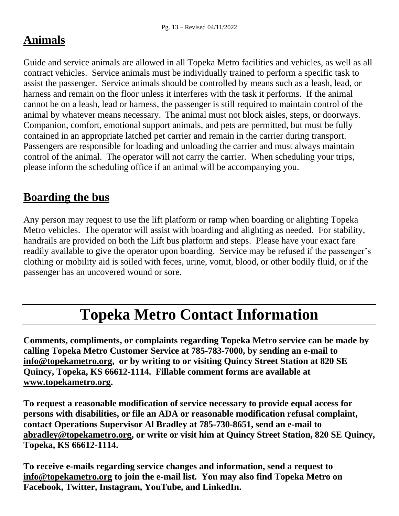#### **Animals**

Guide and service animals are allowed in all Topeka Metro facilities and vehicles, as well as all contract vehicles. Service animals must be individually trained to perform a specific task to assist the passenger. Service animals should be controlled by means such as a leash, lead, or harness and remain on the floor unless it interferes with the task it performs. If the animal cannot be on a leash, lead or harness, the passenger is still required to maintain control of the animal by whatever means necessary. The animal must not block aisles, steps, or doorways. Companion, comfort, emotional support animals, and pets are permitted, but must be fully contained in an appropriate latched pet carrier and remain in the carrier during transport. Passengers are responsible for loading and unloading the carrier and must always maintain control of the animal. The operator will not carry the carrier. When scheduling your trips, please inform the scheduling office if an animal will be accompanying you.

#### **Boarding the bus**

Any person may request to use the lift platform or ramp when boarding or alighting Topeka Metro vehicles. The operator will assist with boarding and alighting as needed. For stability, handrails are provided on both the Lift bus platform and steps. Please have your exact fare readily available to give the operator upon boarding. Service may be refused if the passenger's clothing or mobility aid is soiled with feces, urine, vomit, blood, or other bodily fluid, or if the passenger has an uncovered wound or sore.

## **Topeka Metro Contact Information**

**Comments, compliments, or complaints regarding Topeka Metro service can be made by calling Topeka Metro Customer Service at 785-783-7000, by sending an e-mail to [info@topekametro.org,](mailto:info@topekametro.org) or by writing to or visiting Quincy Street Station at 820 SE Quincy, Topeka, KS 66612-1114. Fillable comment forms are available at [www.topekametro.org.](http://www.topekametro.org/)**

**To request a reasonable modification of service necessary to provide equal access for persons with disabilities, or file an ADA or reasonable modification refusal complaint, contact Operations Supervisor Al Bradley at 785-730-8651, send an e-mail to [abradley@topekametro.org,](mailto:abradley@topekametro.org) or write or visit him at Quincy Street Station, 820 SE Quincy, Topeka, KS 66612-1114.** 

**To receive e-mails regarding service changes and information, send a request to [info@topekametro.org](mailto:info@topekametro.org) to join the e-mail list. You may also find Topeka Metro on Facebook, Twitter, Instagram, YouTube, and LinkedIn.**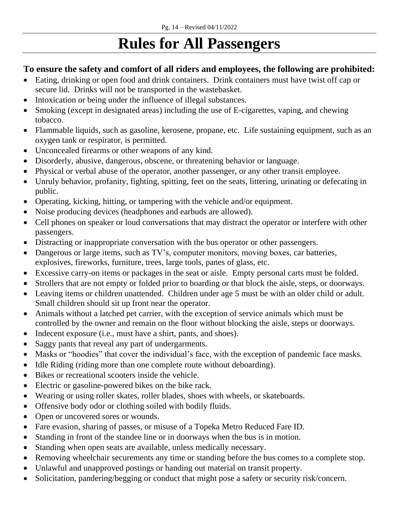## **Rules for All Passengers**

#### **To ensure the safety and comfort of all riders and employees, the following are prohibited:**

- Eating, drinking or open food and drink containers. Drink containers must have twist off cap or secure lid. Drinks will not be transported in the wastebasket.
- Intoxication or being under the influence of illegal substances.
- Smoking (except in designated areas) including the use of E-cigarettes, vaping, and chewing tobacco.
- Flammable liquids, such as gasoline, kerosene, propane, etc. Life sustaining equipment, such as an oxygen tank or respirator, is permitted.
- Unconcealed firearms or other weapons of any kind.
- Disorderly, abusive, dangerous, obscene, or threatening behavior or language.
- Physical or verbal abuse of the operator, another passenger, or any other transit employee.
- Unruly behavior, profanity, fighting, spitting, feet on the seats, littering, urinating or defecating in public.
- Operating, kicking, hitting, or tampering with the vehicle and/or equipment.
- Noise producing devices (headphones and earbuds are allowed).
- Cell phones on speaker or loud conversations that may distract the operator or interfere with other passengers.
- Distracting or inappropriate conversation with the bus operator or other passengers.
- Dangerous or large items, such as TV's, computer monitors, moving boxes, car batteries, explosives, fireworks, furniture, trees, large tools, panes of glass, etc.
- Excessive carry-on items or packages in the seat or aisle. Empty personal carts must be folded.
- Strollers that are not empty or folded prior to boarding or that block the aisle, steps, or doorways.
- Leaving items or children unattended. Children under age 5 must be with an older child or adult. Small children should sit up front near the operator.
- Animals without a latched pet carrier, with the exception of service animals which must be controlled by the owner and remain on the floor without blocking the aisle, steps or doorways.
- Indecent exposure (i.e., must have a shirt, pants, and shoes).
- Saggy pants that reveal any part of undergarments.
- Masks or "hoodies" that cover the individual's face, with the exception of pandemic face masks.
- Idle Riding (riding more than one complete route without deboarding).
- Bikes or recreational scooters inside the vehicle.
- Electric or gasoline-powered bikes on the bike rack.
- Wearing or using roller skates, roller blades, shoes with wheels, or skateboards.
- Offensive body odor or clothing soiled with bodily fluids.
- Open or uncovered sores or wounds.
- Fare evasion, sharing of passes, or misuse of a Topeka Metro Reduced Fare ID.
- Standing in front of the standee line or in doorways when the bus is in motion.
- Standing when open seats are available, unless medically necessary.
- Removing wheelchair securements any time or standing before the bus comes to a complete stop.
- Unlawful and unapproved postings or handing out material on transit property.
- Solicitation, pandering/begging or conduct that might pose a safety or security risk/concern.